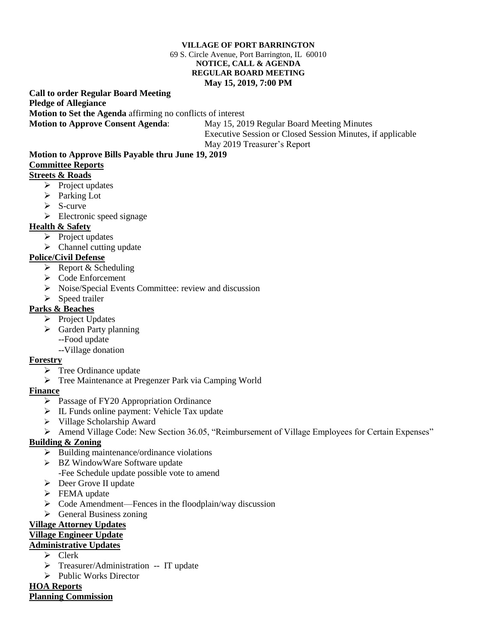#### **VILLAGE OF PORT BARRINGTON** 69 S. Circle Avenue, Port Barrington, IL 60010 **NOTICE, CALL & AGENDA REGULAR BOARD MEETING May 15, 2019, 7:00 PM**

**Call to order Regular Board Meeting Pledge of Allegiance Motion to Set the Agenda** affirming no conflicts of interest **Motion to Approve Consent Agenda**: May 15, 2019 Regular Board Meeting Minutes

Executive Session or Closed Session Minutes, if applicable May 2019 Treasurer's Report

#### **Motion to Approve Bills Payable thru June 19, 2019 Committee Reports**

## **Streets & Roads**

- $\triangleright$  Project updates
- ➢ Parking Lot
- ➢ S-curve
- $\triangleright$  Electronic speed signage

### **Health & Safety**

- ➢ Project updates
- $\triangleright$  Channel cutting update

## **Police/Civil Defense**

- $\triangleright$  Report & Scheduling
- ➢ Code Enforcement
- ➢ Noise/Special Events Committee: review and discussion
- $\triangleright$  Speed trailer

### **Parks & Beaches**

- ➢ Project Updates
- ➢ Garden Party planning
	- --Food update --Village donation

# **Forestry**

- $\triangleright$  Tree Ordinance update
- ➢ Tree Maintenance at Pregenzer Park via Camping World

### **Finance**

- ➢ Passage of FY20 Appropriation Ordinance
- ➢ IL Funds online payment: Vehicle Tax update
- ➢ Village Scholarship Award
- ➢ Amend Village Code: New Section 36.05, "Reimbursement of Village Employees for Certain Expenses"

## **Building & Zoning**

- $\triangleright$  Building maintenance/ordinance violations
- ➢ BZ WindowWare Software update
	- -Fee Schedule update possible vote to amend
- ➢ Deer Grove II update
- $\triangleright$  FEMA update
- ➢ Code Amendment—Fences in the floodplain/way discussion
- ➢ General Business zoning

### **Village Attorney Updates**

### **Village Engineer Update**

### **Administrative Updates**

- ➢ Clerk
- ➢ Treasurer/Administration -- IT update
- ➢ Public Works Director

## **HOA Reports**

### **Planning Commission**